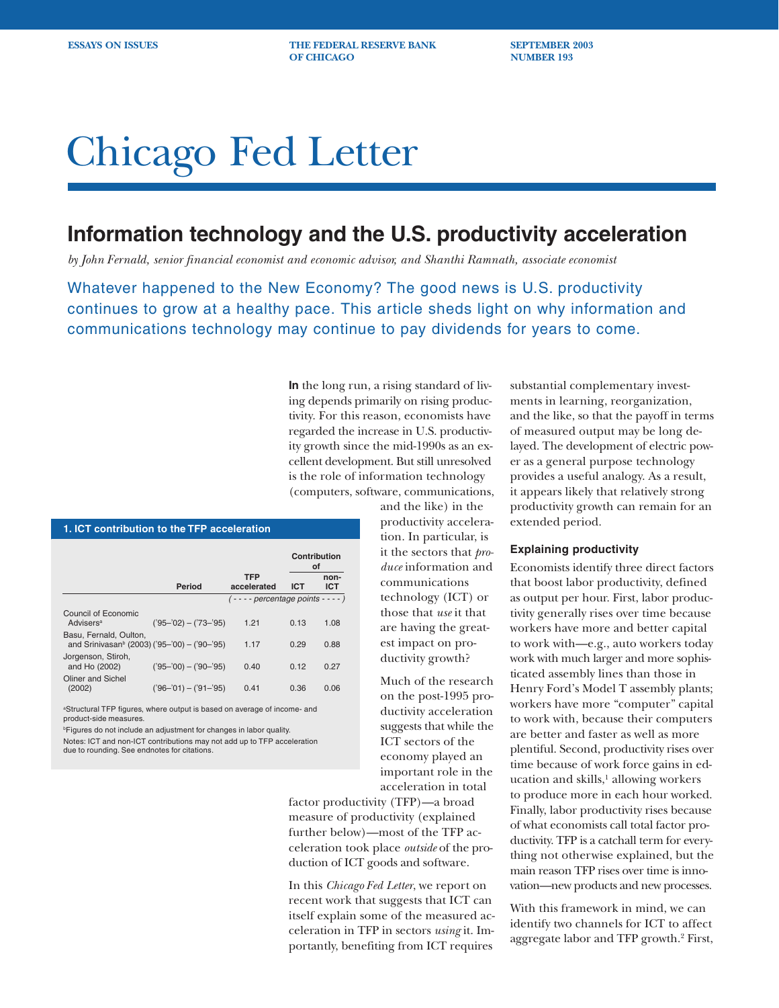**ESSAYS ON ISSUES THE FEDERAL RESERVE BANK SEPTEMBER 2003 OF CHICAGO NUMBER 193** 

# Chicago Fed Letter

## **Information technology and the U.S. productivity acceleration**

*by John Fernald, senior financial economist and economic advisor, and Shanthi Ramnath, associate economist*

Whatever happened to the New Economy? The good news is U.S. productivity continues to grow at a healthy pace. This article sheds light on why information and communications technology may continue to pay dividends for years to come.

> **In** the long run, a rising standard of living depends primarily on rising productivity. For this reason, economists have regarded the increase in U.S. productivity growth since the mid-1990s as an excellent development. But still unresolved is the role of information technology (computers, software, communications,

> > and the like) in the productivity acceleration. In particular, is it the sectors that *produce* information and communications technology (ICT) or those that *use* it that are having the greatest impact on productivity growth?

Much of the research on the post-1995 productivity acceleration suggests that while the ICT sectors of the economy played an important role in the acceleration in total

factor productivity (TFP)—a broad measure of productivity (explained further below)—most of the TFP acceleration took place *outside* of the production of ICT goods and software.

In this *Chicago Fed Letter*, we report on recent work that suggests that ICT can itself explain some of the measured acceleration in TFP in sectors *using* it. Importantly, benefiting from ICT requires

substantial complementary investments in learning, reorganization, and the like, so that the payoff in terms of measured output may be long delayed. The development of electric power as a general purpose technology provides a useful analogy. As a result, it appears likely that relatively strong productivity growth can remain for an extended period.

## **Explaining productivity**

Economists identify three direct factors that boost labor productivity, defined as output per hour. First, labor productivity generally rises over time because workers have more and better capital to work with—e.g., auto workers today work with much larger and more sophisticated assembly lines than those in Henry Ford's Model T assembly plants; workers have more "computer" capital to work with, because their computers are better and faster as well as more plentiful. Second, productivity rises over time because of work force gains in education and skills,<sup>1</sup> allowing workers to produce more in each hour worked. Finally, labor productivity rises because of what economists call total factor productivity. TFP is a catchall term for everything not otherwise explained, but the main reason TFP rises over time is innovation—new products and new processes.

With this framework in mind, we can identify two channels for ICT to affect aggregate labor and TFP growth.2 First,

### **1. ICT contribution to the TFP acceleration**

|                                                                                    |                         |                                    | Contribution<br>οf |                    |
|------------------------------------------------------------------------------------|-------------------------|------------------------------------|--------------------|--------------------|
|                                                                                    | Period                  | <b>TFP</b><br>accelerated          | <b>ICT</b>         | non-<br><b>ICT</b> |
|                                                                                    |                         | $(- - -$ percentage points $- -$ ) |                    |                    |
| Council of Economic<br>Advisers <sup>a</sup>                                       | $('95-'02) - ('73-'95)$ | 1.21                               | 0.13               | 1.08               |
| Basu, Fernald, Oulton.<br>and Srinivasan <sup>b</sup> (2003) ('95-'00) - ('90-'95) |                         | 1.17                               | 0.29               | 0.88               |
| Jorgenson, Stiroh,<br>and Ho (2002)                                                | $('95-'00) - ('90-'95)$ | 0.40                               | 0.12               | 0.27               |
| Oliner and Sichel<br>(2002)                                                        | $('96-'01) - ('91-'95)$ | 0.41                               | 0.36               | 0.06               |

aStructural TFP figures, where output is based on average of income- and product-side measures.

**Figures do not include an adjustment for changes in labor quality.** 

Notes: ICT and non-ICT contributions may not add up to TFP acceleration due to rounding. See endnotes for citations.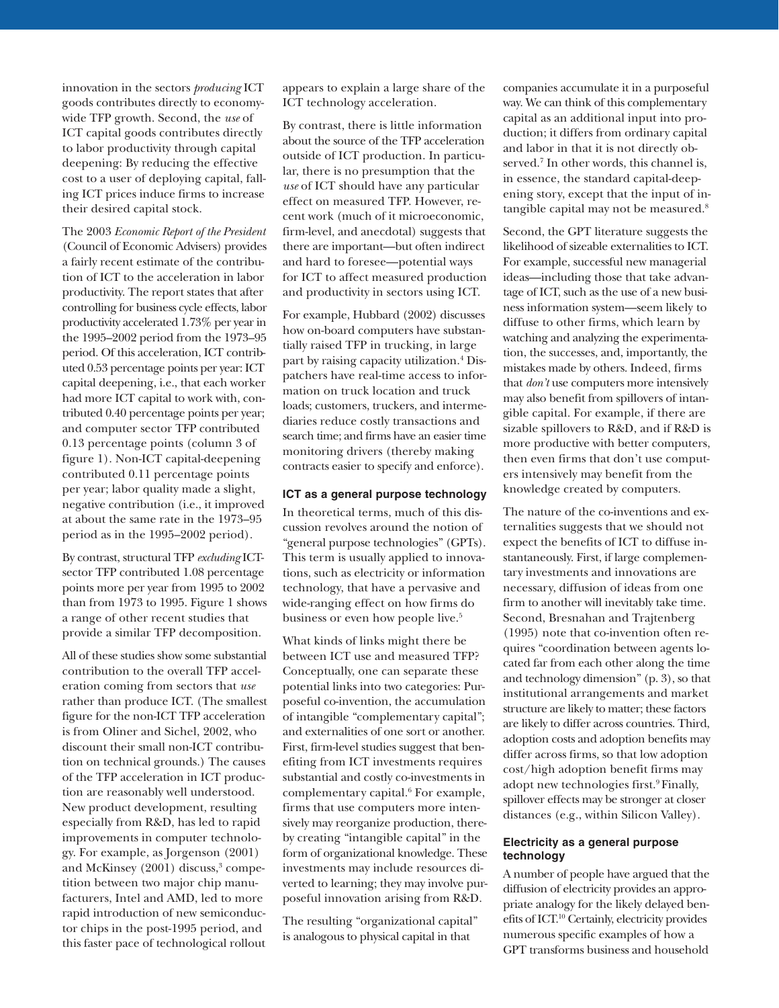innovation in the sectors *producing* ICT goods contributes directly to economywide TFP growth. Second, the *use* of ICT capital goods contributes directly to labor productivity through capital deepening: By reducing the effective cost to a user of deploying capital, falling ICT prices induce firms to increase their desired capital stock.

The 2003 *Economic Report of the President* (Council of Economic Advisers) provides a fairly recent estimate of the contribution of ICT to the acceleration in labor productivity. The report states that after controlling for business cycle effects, labor productivity accelerated 1.73% per year in the 1995–2002 period from the 1973–95 period. Of this acceleration, ICT contributed 0.53 percentage points per year: ICT capital deepening, i.e., that each worker had more ICT capital to work with, contributed 0.40 percentage points per year; and computer sector TFP contributed 0.13 percentage points (column 3 of figure 1). Non-ICT capital-deepening contributed 0.11 percentage points per year; labor quality made a slight, negative contribution (i.e., it improved at about the same rate in the 1973–95 period as in the 1995–2002 period).

By contrast, structural TFP *excluding* ICTsector TFP contributed 1.08 percentage points more per year from 1995 to 2002 than from 1973 to 1995. Figure 1 shows a range of other recent studies that provide a similar TFP decomposition.

All of these studies show some substantial contribution to the overall TFP acceleration coming from sectors that *use* rather than produce ICT. (The smallest figure for the non-ICT TFP acceleration is from Oliner and Sichel, 2002, who discount their small non-ICT contribution on technical grounds.) The causes of the TFP acceleration in ICT production are reasonably well understood. New product development, resulting especially from R&D, has led to rapid improvements in computer technology. For example, as Jorgenson (2001) and McKinsey (2001) discuss,<sup>3</sup> competition between two major chip manufacturers, Intel and AMD, led to more rapid introduction of new semiconductor chips in the post-1995 period, and this faster pace of technological rollout

appears to explain a large share of the ICT technology acceleration.

By contrast, there is little information about the source of the TFP acceleration outside of ICT production. In particular, there is no presumption that the *use* of ICT should have any particular effect on measured TFP. However, recent work (much of it microeconomic, firm-level, and anecdotal) suggests that there are important—but often indirect and hard to foresee—potential ways for ICT to affect measured production and productivity in sectors using ICT.

For example, Hubbard (2002) discusses how on-board computers have substantially raised TFP in trucking, in large part by raising capacity utilization.4 Dispatchers have real-time access to information on truck location and truck loads; customers, truckers, and intermediaries reduce costly transactions and search time; and firms have an easier time monitoring drivers (thereby making contracts easier to specify and enforce).

## **ICT as a general purpose technology**

In theoretical terms, much of this discussion revolves around the notion of "general purpose technologies" (GPTs). This term is usually applied to innovations, such as electricity or information technology, that have a pervasive and wide-ranging effect on how firms do business or even how people live.<sup>5</sup>

What kinds of links might there be between ICT use and measured TFP? Conceptually, one can separate these potential links into two categories: Purposeful co-invention, the accumulation of intangible "complementary capital"; and externalities of one sort or another. First, firm-level studies suggest that benefiting from ICT investments requires substantial and costly co-investments in complementary capital.<sup>6</sup> For example, firms that use computers more intensively may reorganize production, thereby creating "intangible capital" in the form of organizational knowledge. These investments may include resources diverted to learning; they may involve purposeful innovation arising from R&D.

The resulting "organizational capital" is analogous to physical capital in that

companies accumulate it in a purposeful way. We can think of this complementary capital as an additional input into production; it differs from ordinary capital and labor in that it is not directly observed.7 In other words, this channel is, in essence, the standard capital-deepening story, except that the input of intangible capital may not be measured.<sup>8</sup>

Second, the GPT literature suggests the likelihood of sizeable externalities to ICT. For example, successful new managerial ideas—including those that take advantage of ICT, such as the use of a new business information system—seem likely to diffuse to other firms, which learn by watching and analyzing the experimentation, the successes, and, importantly, the mistakes made by others. Indeed, firms that *don't* use computers more intensively may also benefit from spillovers of intangible capital. For example, if there are sizable spillovers to R&D, and if R&D is more productive with better computers, then even firms that don't use computers intensively may benefit from the knowledge created by computers.

The nature of the co-inventions and externalities suggests that we should not expect the benefits of ICT to diffuse instantaneously. First, if large complementary investments and innovations are necessary, diffusion of ideas from one firm to another will inevitably take time. Second, Bresnahan and Trajtenberg (1995) note that co-invention often requires "coordination between agents located far from each other along the time and technology dimension" (p. 3), so that institutional arrangements and market structure are likely to matter; these factors are likely to differ across countries. Third, adoption costs and adoption benefits may differ across firms, so that low adoption cost/high adoption benefit firms may adopt new technologies first.<sup>9</sup> Finally, spillover effects may be stronger at closer distances (e.g., within Silicon Valley).

## **Electricity as a general purpose technology**

A number of people have argued that the diffusion of electricity provides an appropriate analogy for the likely delayed benefits of ICT.10 Certainly, electricity provides numerous specific examples of how a GPT transforms business and household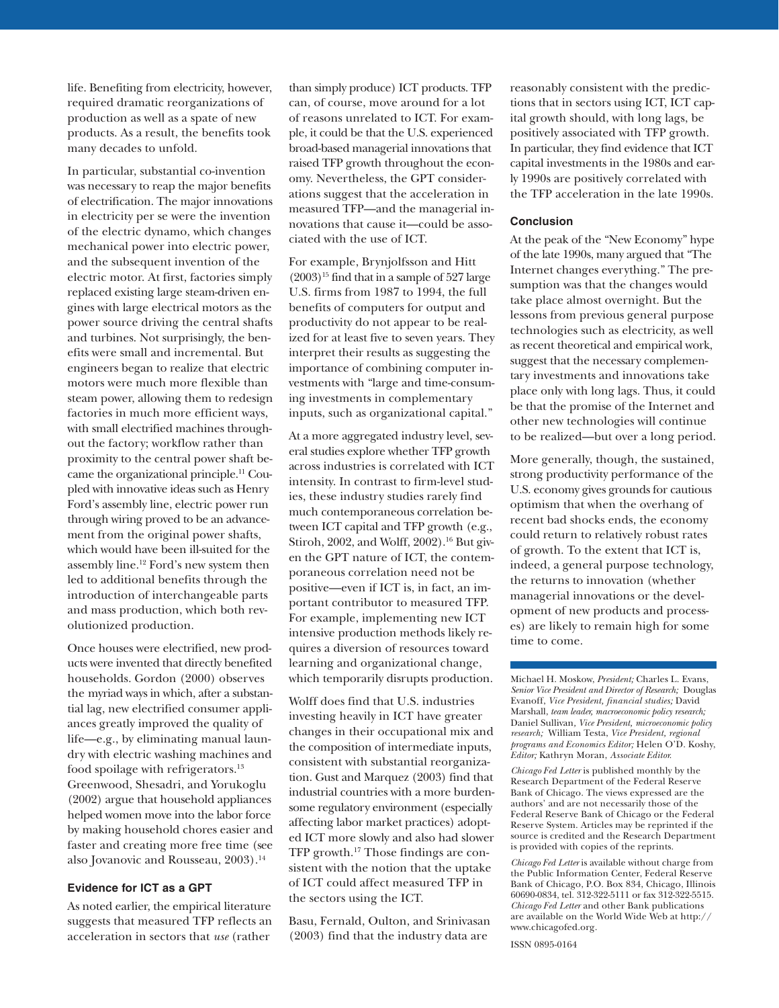life. Benefiting from electricity, however, required dramatic reorganizations of production as well as a spate of new products. As a result, the benefits took many decades to unfold.

In particular, substantial co-invention was necessary to reap the major benefits of electrification. The major innovations in electricity per se were the invention of the electric dynamo, which changes mechanical power into electric power, and the subsequent invention of the electric motor. At first, factories simply replaced existing large steam-driven engines with large electrical motors as the power source driving the central shafts and turbines. Not surprisingly, the benefits were small and incremental. But engineers began to realize that electric motors were much more flexible than steam power, allowing them to redesign factories in much more efficient ways, with small electrified machines throughout the factory; workflow rather than proximity to the central power shaft became the organizational principle.11 Coupled with innovative ideas such as Henry Ford's assembly line, electric power run through wiring proved to be an advancement from the original power shafts, which would have been ill-suited for the assembly line.12 Ford's new system then led to additional benefits through the introduction of interchangeable parts and mass production, which both revolutionized production.

Once houses were electrified, new products were invented that directly benefited households. Gordon (2000) observes the myriad ways in which, after a substantial lag, new electrified consumer appliances greatly improved the quality of life—e.g., by eliminating manual laundry with electric washing machines and food spoilage with refrigerators.<sup>13</sup> Greenwood, Shesadri, and Yorukoglu (2002) argue that household appliances helped women move into the labor force by making household chores easier and faster and creating more free time (see also Jovanovic and Rousseau, 2003).<sup>14</sup>

## **Evidence for ICT as a GPT**

As noted earlier, the empirical literature suggests that measured TFP reflects an acceleration in sectors that *use* (rather

than simply produce) ICT products. TFP can, of course, move around for a lot of reasons unrelated to ICT. For example, it could be that the U.S. experienced broad-based managerial innovations that raised TFP growth throughout the economy. Nevertheless, the GPT considerations suggest that the acceleration in measured TFP—and the managerial innovations that cause it—could be associated with the use of ICT.

For example, Brynjolfsson and Hitt  $(2003)^{15}$  find that in a sample of 527 large U.S. firms from 1987 to 1994, the full benefits of computers for output and productivity do not appear to be realized for at least five to seven years. They interpret their results as suggesting the importance of combining computer investments with "large and time-consuming investments in complementary inputs, such as organizational capital."

At a more aggregated industry level, several studies explore whether TFP growth across industries is correlated with ICT intensity. In contrast to firm-level studies, these industry studies rarely find much contemporaneous correlation between ICT capital and TFP growth (e.g., Stiroh, 2002, and Wolff, 2002).16 But given the GPT nature of ICT, the contemporaneous correlation need not be positive—even if ICT is, in fact, an important contributor to measured TFP. For example, implementing new ICT intensive production methods likely requires a diversion of resources toward learning and organizational change, which temporarily disrupts production.

Wolff does find that U.S. industries investing heavily in ICT have greater changes in their occupational mix and the composition of intermediate inputs, consistent with substantial reorganization. Gust and Marquez (2003) find that industrial countries with a more burdensome regulatory environment (especially affecting labor market practices) adopted ICT more slowly and also had slower TFP growth.<sup>17</sup> Those findings are consistent with the notion that the uptake of ICT could affect measured TFP in the sectors using the ICT.

Basu, Fernald, Oulton, and Srinivasan (2003) find that the industry data are

reasonably consistent with the predictions that in sectors using ICT, ICT capital growth should, with long lags, be positively associated with TFP growth. In particular, they find evidence that ICT capital investments in the 1980s and early 1990s are positively correlated with the TFP acceleration in the late 1990s.

## **Conclusion**

At the peak of the "New Economy" hype of the late 1990s, many argued that "The Internet changes everything." The presumption was that the changes would take place almost overnight. But the lessons from previous general purpose technologies such as electricity, as well as recent theoretical and empirical work, suggest that the necessary complementary investments and innovations take place only with long lags. Thus, it could be that the promise of the Internet and other new technologies will continue to be realized—but over a long period.

More generally, though, the sustained, strong productivity performance of the U.S. economy gives grounds for cautious optimism that when the overhang of recent bad shocks ends, the economy could return to relatively robust rates of growth. To the extent that ICT is, indeed, a general purpose technology, the returns to innovation (whether managerial innovations or the development of new products and processes) are likely to remain high for some time to come.

Michael H. Moskow, *President;* Charles L. Evans, *Senior Vice President and Director of Research;* Douglas Evanoff, *Vice President, financial studies;* David Marshall, *team leader, macroeconomic policy research;* Daniel Sullivan*, Vice President, microeconomic policy research;* William Testa, *Vice President, regional programs and Economics Editor;* Helen O'D. Koshy, *Editor;* Kathryn Moran, *Associate Editor.*

*Chicago Fed Letter* is published monthly by the Research Department of the Federal Reserve Bank of Chicago. The views expressed are the authors' and are not necessarily those of the Federal Reserve Bank of Chicago or the Federal Reserve System. Articles may be reprinted if the source is credited and the Research Department is provided with copies of the reprints.

*Chicago Fed Letter* is available without charge from the Public Information Center, Federal Reserve Bank of Chicago, P.O. Box 834, Chicago, Illinois 60690-0834, tel. 312-322-5111 or fax 312-322-5515. *Chicago Fed Letter* and other Bank publications are available on the World Wide Web at http:// www.chicagofed.org.

ISSN 0895-0164